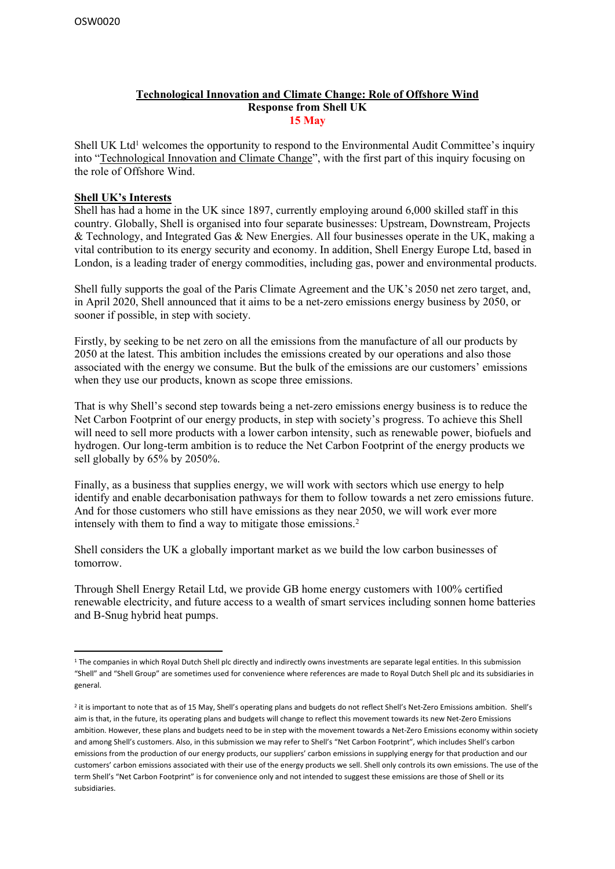#### **Technological Innovation and Climate Change: Role of Offshore Wind Response from Shell UK 15 May**

Shell UK Ltd<sup>1</sup> welcomes the opportunity to respond to the Environmental Audit Committee's inquiry into "Technological Innovation and Climate Change", with the first part of this inquiry focusing on the role of Offshore Wind.

# **Shell UK's Interests**

Shell has had a home in the UK since 1897, currently employing around 6,000 skilled staff in this country. Globally, Shell is organised into four separate businesses: Upstream, Downstream, Projects & Technology, and Integrated Gas & New Energies. All four businesses operate in the UK, making a vital contribution to its energy security and economy. In addition, Shell Energy Europe Ltd, based in London, is a leading trader of energy commodities, including gas, power and environmental products.

Shell fully supports the goal of the Paris Climate Agreement and the UK's 2050 net zero target, and, in April 2020, Shell announced that it aims to be a net-zero emissions energy business by 2050, or sooner if possible, in step with society.

Firstly, by seeking to be net zero on all the emissions from the manufacture of all our products by 2050 at the latest. This ambition includes the emissions created by our operations and also those associated with the energy we consume. But the bulk of the emissions are our customers' emissions when they use our products, known as scope three emissions.

That is why Shell's second step towards being a net-zero emissions energy business is to reduce the Net Carbon Footprint of our energy products, in step with society's progress. To achieve this Shell will need to sell more products with a lower carbon intensity, such as renewable power, biofuels and hydrogen. Our long-term ambition is to reduce the Net Carbon Footprint of the energy products we sell globally by 65% by 2050%.

Finally, as a business that supplies energy, we will work with sectors which use energy to help identify and enable decarbonisation pathways for them to follow towards a net zero emissions future. And for those customers who still have emissions as they near 2050, we will work ever more intensely with them to find a way to mitigate those emissions.<sup>2</sup>

Shell considers the UK a globally important market as we build the low carbon businesses of tomorrow.

Through Shell Energy Retail Ltd, we provide GB home energy customers with 100% certified renewable electricity, and future access to a wealth of smart services including sonnen home batteries and B-Snug hybrid heat pumps.

<sup>&</sup>lt;sup>1</sup> The companies in which Royal Dutch Shell plc directly and indirectly owns investments are separate legal entities. In this submission "Shell" and "Shell Group" are sometimes used for convenience where references are made to Royal Dutch Shell plc and its subsidiaries in general.

<sup>&</sup>lt;sup>2</sup> it is important to note that as of 15 May, Shell's operating plans and budgets do not reflect Shell's Net-Zero Emissions ambition. Shell's aim is that, in the future, its operating plans and budgets will change to reflect this movement towards its new Net-Zero Emissions ambition. However, these plans and budgets need to be in step with the movement towards a Net-Zero Emissions economy within society and among Shell's customers. Also, in this submission we may refer to Shell's "Net Carbon Footprint", which includes Shell's carbon emissions from the production of our energy products, our suppliers' carbon emissions in supplying energy for that production and our customers' carbon emissions associated with their use of the energy products we sell. Shell only controls its own emissions. The use of the term Shell's "Net Carbon Footprint" is for convenience only and not intended to suggest these emissions are those of Shell or its subsidiaries.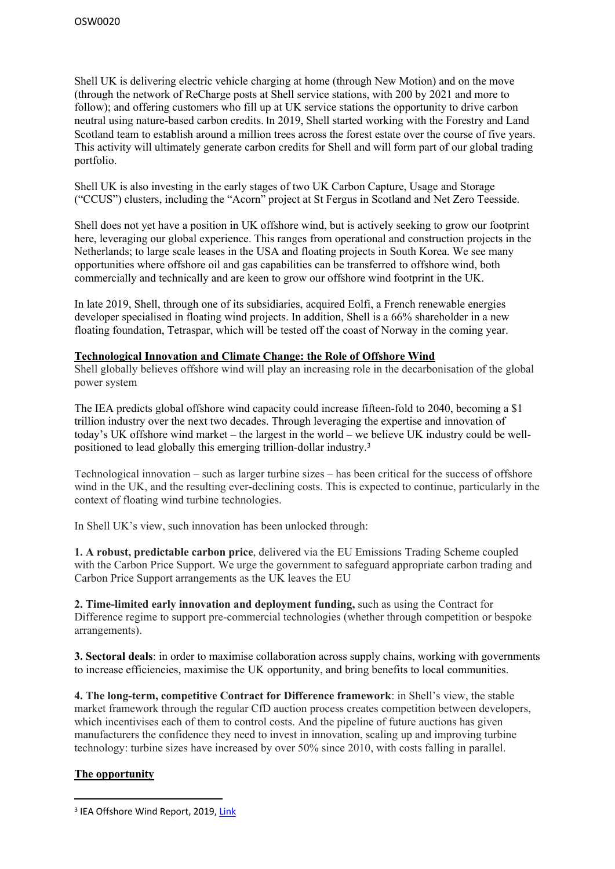Shell UK is delivering electric vehicle charging at home (through New Motion) and on the move (through the network of ReCharge posts at Shell service stations, with 200 by 2021 and more to follow); and offering customers who fill up at UK service stations the opportunity to drive carbon neutral using nature-based carbon credits. In 2019, Shell started working with the Forestry and Land Scotland team to establish around a million trees across the forest estate over the course of five years. This activity will ultimately generate carbon credits for Shell and will form part of our global trading portfolio.

Shell UK is also investing in the early stages of two UK Carbon Capture, Usage and Storage ("CCUS") clusters, including the "Acorn" project at St Fergus in Scotland and Net Zero Teesside.

Shell does not yet have a position in UK offshore wind, but is actively seeking to grow our footprint here, leveraging our global experience. This ranges from operational and construction projects in the Netherlands; to large scale leases in the USA and floating projects in South Korea. We see many opportunities where offshore oil and gas capabilities can be transferred to offshore wind, both commercially and technically and are keen to grow our offshore wind footprint in the UK.

In late 2019, Shell, through one of its subsidiaries, acquired Eolfi, a French renewable energies developer specialised in floating wind projects. In addition, Shell is a 66% shareholder in a new floating foundation, Tetraspar, which will be tested off the coast of Norway in the coming year.

### **Technological Innovation and Climate Change: the Role of Offshore Wind**

Shell globally believes offshore wind will play an increasing role in the decarbonisation of the global power system

The IEA predicts global offshore wind capacity could increase fifteen-fold to 2040, becoming a \$1 trillion industry over the next two decades. Through leveraging the expertise and innovation of today's UK offshore wind market – the largest in the world – we believe UK industry could be wellpositioned to lead globally this emerging trillion-dollar industry.<sup>3</sup>

Technological innovation – such as larger turbine sizes – has been critical for the success of offshore wind in the UK, and the resulting ever-declining costs. This is expected to continue, particularly in the context of floating wind turbine technologies.

In Shell UK's view, such innovation has been unlocked through:

**1. A robust, predictable carbon price**, delivered via the EU Emissions Trading Scheme coupled with the Carbon Price Support. We urge the government to safeguard appropriate carbon trading and Carbon Price Support arrangements as the UK leaves the EU

**2. Time-limited early innovation and deployment funding,** such as using the Contract for Difference regime to support pre-commercial technologies (whether through competition or bespoke arrangements).

**3. Sectoral deals**: in order to maximise collaboration across supply chains, working with governments to increase efficiencies, maximise the UK opportunity, and bring benefits to local communities.

**4. The long-term, competitive Contract for Difference framework**: in Shell's view, the stable market framework through the regular CfD auction process creates competition between developers, which incentivises each of them to control costs. And the pipeline of future auctions has given manufacturers the confidence they need to invest in innovation, scaling up and improving turbine technology: turbine sizes have increased by over 50% since 2010, with costs falling in parallel.

# **The opportunity**

<sup>&</sup>lt;sup>3</sup> IEA Offshore Wind Report, 2019, [Link](https://www.iea.org/reports/offshore-wind-outlook-2019)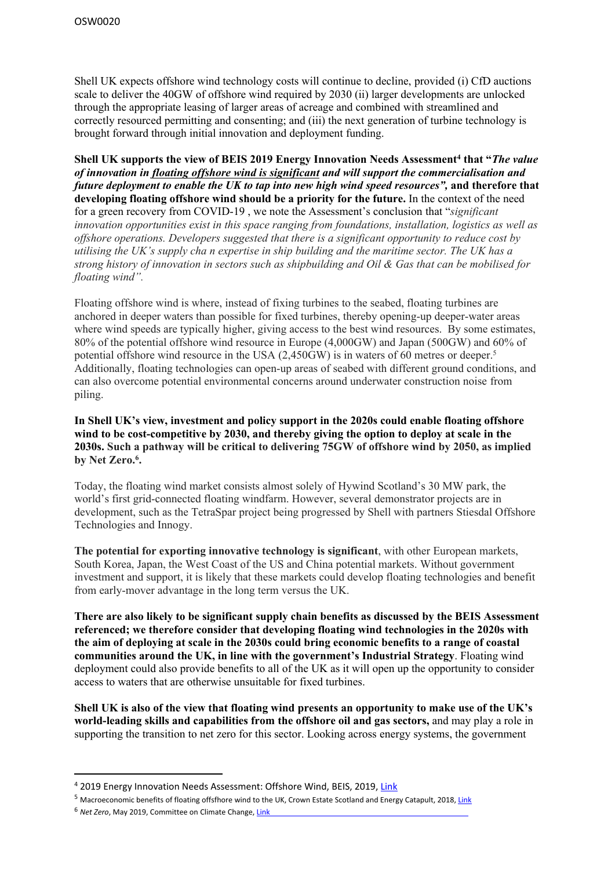Shell UK expects offshore wind technology costs will continue to decline, provided (i) CfD auctions scale to deliver the 40GW of offshore wind required by 2030 (ii) larger developments are unlocked through the appropriate leasing of larger areas of acreage and combined with streamlined and correctly resourced permitting and consenting; and (iii) the next generation of turbine technology is brought forward through initial innovation and deployment funding.

**Shell UK supports the view of BEIS 2019 Energy Innovation Needs Assessment<sup>4</sup> that "***The value of innovation in floating offshore wind is significant and will support the commercialisation and future deployment to enable the UK to tap into new high wind speed resources",* **and therefore that developing floating offshore wind should be a priority for the future.** In the context of the need for a green recovery from COVID-19 , we note the Assessment's conclusion that "*significant innovation opportunities exist in this space ranging from foundations, installation, logistics as well as offshore operations. Developers suggested that there is a significant opportunity to reduce cost by utilising the UK's supply cha n expertise in ship building and the maritime sector. The UK has a* strong history of innovation in sectors such as shipbuilding and Oil & Gas that can be mobilised for *floating wind".*

Floating offshore wind is where, instead of fixing turbines to the seabed, floating turbines are anchored in deeper waters than possible for fixed turbines, thereby opening-up deeper-water areas where wind speeds are typically higher, giving access to the best wind resources. By some estimates, 80% of the potential offshore wind resource in Europe (4,000GW) and Japan (500GW) and 60% of potential offshore wind resource in the USA (2,450GW) is in waters of 60 metres or deeper.<sup>5</sup> Additionally, floating technologies can open-up areas of seabed with different ground conditions, and can also overcome potential environmental concerns around underwater construction noise from piling.

### **In Shell UK's view, investment and policy support in the 2020s could enable floating offshore wind to be cost-competitive by 2030, and thereby giving the option to deploy at scale in the 2030s. Such a pathway will be critical to delivering 75GW of offshore wind by 2050, as implied by Net Zero.<sup>6</sup> .**

Today, the floating wind market consists almost solely of Hywind Scotland's 30 MW park, the world's first grid-connected floating windfarm. However, several demonstrator projects are in development, such as the TetraSpar project being progressed by Shell with partners Stiesdal Offshore Technologies and Innogy.

**The potential for exporting innovative technology is significant**, with other European markets, South Korea, Japan, the West Coast of the US and China potential markets. Without government investment and support, it is likely that these markets could develop floating technologies and benefit from early-mover advantage in the long term versus the UK.

**There are also likely to be significant supply chain benefits as discussed by the BEIS Assessment referenced; we therefore consider that developing floating wind technologies in the 2020s with the aim of deploying at scale in the 2030s could bring economic benefits to a range of coastal communities around the UK, in line with the government's Industrial Strategy**. Floating wind deployment could also provide benefits to all of the UK as it will open up the opportunity to consider access to waters that are otherwise unsuitable for fixed turbines.

Shell UK is also of the view that floating wind presents an opportunity to make use of the UK's **world-leading skills and capabilities from the offshore oil and gas sectors,** and may play a role in supporting the transition to net zero for this sector. Looking across energy systems, the government

<sup>4</sup> 2019 Energy Innovation Needs Assessment: Offshore Wind, BEIS, 2019, [Link](https://assets.publishing.service.gov.uk/government/uploads/system/uploads/attachment_data/file/845662/energy-innovation-needs-assessment-offshore-wind.pdf)

<sup>&</sup>lt;sup>5</sup> Macroeconomic benefits of floating offsfhore wind to the UK, Crown Estate Scotland and Energy Catapult, 2018, [Link](https://www.crownestatescotland.com/maps-and-publications/download/219)

<sup>6</sup> *Net Zero*, May 2019, Committee on Climate Change, [Link](https://www.theccc.org.uk/publication/net-zero-the-uks-contribution-to-stopping-global-warming/)